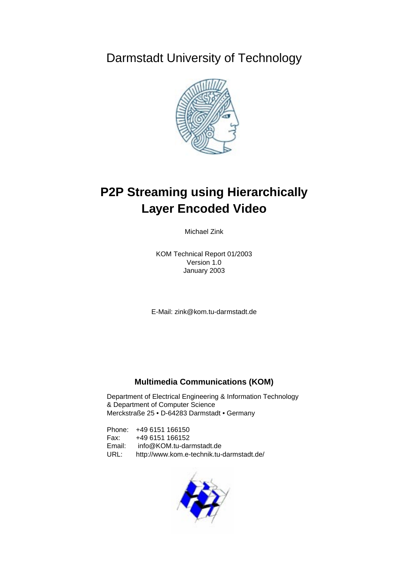Darmstadt University of Technology



# **P2P Streaming using Hierarchically Layer Encoded Video**

Michael Zink

KOM Technical Report 01/2003 Version 1.0 January 2003

E-Mail: zink@kom.tu-darmstadt.de

### **Multimedia Communications (KOM)**

Department of Electrical Engineering & Information Technology & Department of Computer Science Merckstraße 25 • D-64283 Darmstadt • Germany

Phone: +49 6151 166150 Fax: +49 6151 166152 Email: info@KOM.tu-darmstadt.de URL: http://www.kom.e-technik.tu-darmstadt.de/

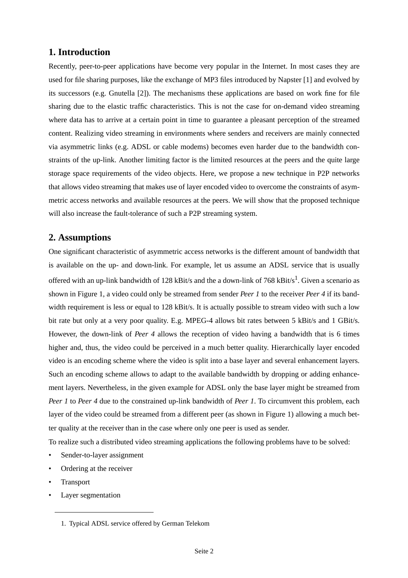## **1. Introduction**

Recently, peer-to-peer applications have become very popular in the Internet. In most cases they are used for file sharing purposes, like the exchange of MP3 files introduced by Napster [1] and evolved by its successors (e.g. Gnutella [2]). The mechanisms these applications are based on work fine for file sharing due to the elastic traffic characteristics. This is not the case for on-demand video streaming where data has to arrive at a certain point in time to guarantee a pleasant perception of the streamed content. Realizing video streaming in environments where senders and receivers are mainly connected via asymmetric links (e.g. ADSL or cable modems) becomes even harder due to the bandwidth constraints of the up-link. Another limiting factor is the limited resources at the peers and the quite large storage space requirements of the video objects. Here, we propose a new technique in P2P networks that allows video streaming that makes use of layer encoded video to overcome the constraints of asymmetric access networks and available resources at the peers. We will show that the proposed technique will also increase the fault-tolerance of such a P2P streaming system.

## **2. Assumptions**

One significant characteristic of asymmetric access networks is the different amount of bandwidth that is available on the up- and down-link. For example, let us assume an ADSL service that is usually offered with an up-link bandwidth of 128 kBit/s and the a down-link of 768 kBit/s<sup>1</sup>. Given a scenario as shown in [Figure 1,](#page-2-0) a video could only be streamed from sender *Peer 1* to the receiver *Peer 4* if its bandwidth requirement is less or equal to 128 kBit/s. It is actually possible to stream video with such a low bit rate but only at a very poor quality. E.g. MPEG-4 allows bit rates between 5 kBit/s and 1 GBit/s. However, the down-link of *Peer 4* allows the reception of video having a bandwidth that is 6 times higher and, thus, the video could be perceived in a much better quality. Hierarchically layer encoded video is an encoding scheme where the video is split into a base layer and several enhancement layers. Such an encoding scheme allows to adapt to the available bandwidth by dropping or adding enhancement layers. Nevertheless, in the given example for ADSL only the base layer might be streamed from *Peer 1* to *Peer 4* due to the constrained up-link bandwidth of *Peer 1*. To circumvent this problem, each layer of the video could be streamed from a different peer (as shown in [Figure 1](#page-2-0)) allowing a much better quality at the receiver than in the case where only one peer is used as sender.

To realize such a distributed video streaming applications the following problems have to be solved:

- Sender-to-layer assignment
- Ordering at the receiver
- **Transport**
- Layer segmentation

<sup>1.</sup> Typical ADSL service offered by German Telekom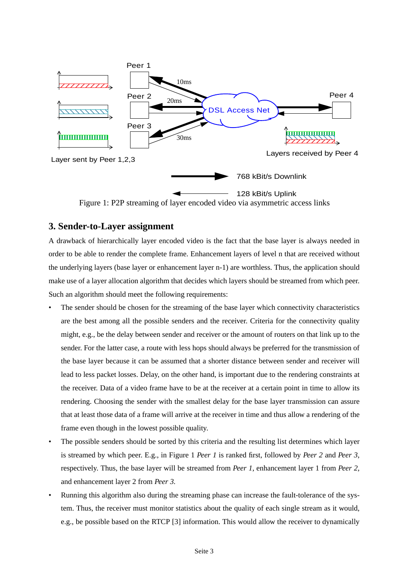<span id="page-2-0"></span>

## **3. Sender-to-Layer assignment**

A drawback of hierarchically layer encoded video is the fact that the base layer is always needed in order to be able to render the complete frame. Enhancement layers of level n that are received without the underlying layers (base layer or enhancement layer n-1) are worthless. Thus, the application should make use of a layer allocation algorithm that decides which layers should be streamed from which peer. Such an algorithm should meet the following requirements:

- The sender should be chosen for the streaming of the base layer which connectivity characteristics are the best among all the possible senders and the receiver. Criteria for the connectivity quality might, e.g., be the delay between sender and receiver or the amount of routers on that link up to the sender. For the latter case, a route with less hops should always be preferred for the transmission of the base layer because it can be assumed that a shorter distance between sender and receiver will lead to less packet losses. Delay, on the other hand, is important due to the rendering constraints at the receiver. Data of a video frame have to be at the receiver at a certain point in time to allow its rendering. Choosing the sender with the smallest delay for the base layer transmission can assure that at least those data of a frame will arrive at the receiver in time and thus allow a rendering of the frame even though in the lowest possible quality.
- The possible senders should be sorted by this criteria and the resulting list determines which layer is streamed by which peer. E.g., in Figure 1 *Peer 1* is ranked first, followed by *Peer 2* and *Peer 3*, respectively. Thus, the base layer will be streamed from *Peer 1*, enhancement layer 1 from *Peer 2,* and enhancement layer 2 from *Peer 3.*
- Running this algorithm also during the streaming phase can increase the fault-tolerance of the system. Thus, the receiver must monitor statistics about the quality of each single stream as it would, e.g., be possible based on the RTCP [3] information. This would allow the receiver to dynamically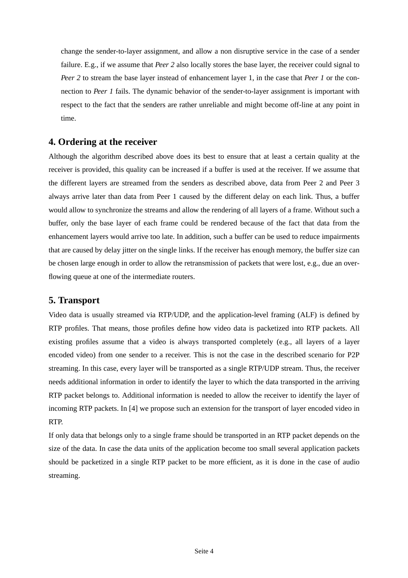change the sender-to-layer assignment, and allow a non disruptive service in the case of a sender failure. E.g., if we assume that *Peer 2* also locally stores the base layer, the receiver could signal to *Peer 2* to stream the base layer instead of enhancement layer 1, in the case that *Peer 1* or the connection to *Peer 1* fails. The dynamic behavior of the sender-to-layer assignment is important with respect to the fact that the senders are rather unreliable and might become off-line at any point in time.

### **4. Ordering at the receiver**

Although the algorithm described above does its best to ensure that at least a certain quality at the receiver is provided, this quality can be increased if a buffer is used at the receiver. If we assume that the different layers are streamed from the senders as described above, data from Peer 2 and Peer 3 always arrive later than data from Peer 1 caused by the different delay on each link. Thus, a buffer would allow to synchronize the streams and allow the rendering of all layers of a frame. Without such a buffer, only the base layer of each frame could be rendered because of the fact that data from the enhancement layers would arrive too late. In addition, such a buffer can be used to reduce impairments that are caused by delay jitter on the single links. If the receiver has enough memory, the buffer size can be chosen large enough in order to allow the retransmission of packets that were lost, e.g., due an overflowing queue at one of the intermediate routers.

### **5. Transport**

Video data is usually streamed via RTP/UDP, and the application-level framing (ALF) is defined by RTP profiles. That means, those profiles define how video data is packetized into RTP packets. All existing profiles assume that a video is always transported completely (e.g., all layers of a layer encoded video) from one sender to a receiver. This is not the case in the described scenario for P2P streaming. In this case, every layer will be transported as a single RTP/UDP stream. Thus, the receiver needs additional information in order to identify the layer to which the data transported in the arriving RTP packet belongs to. Additional information is needed to allow the receiver to identify the layer of incoming RTP packets. In [4] we propose such an extension for the transport of layer encoded video in RTP.

If only data that belongs only to a single frame should be transported in an RTP packet depends on the size of the data. In case the data units of the application become too small several application packets should be packetized in a single RTP packet to be more efficient, as it is done in the case of audio streaming.